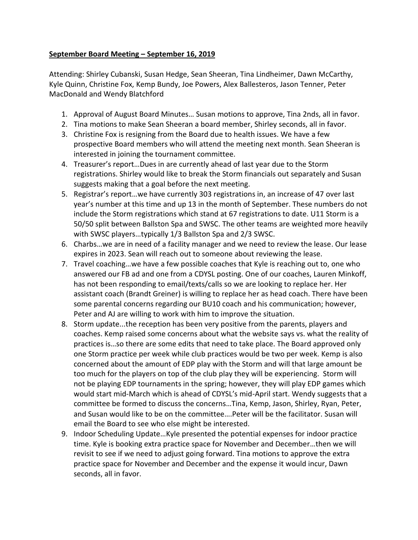## **September Board Meeting – September 16, 2019**

Attending: Shirley Cubanski, Susan Hedge, Sean Sheeran, Tina Lindheimer, Dawn McCarthy, Kyle Quinn, Christine Fox, Kemp Bundy, Joe Powers, Alex Ballesteros, Jason Tenner, Peter MacDonald and Wendy Blatchford

- 1. Approval of August Board Minutes… Susan motions to approve, Tina 2nds, all in favor.
- 2. Tina motions to make Sean Sheeran a board member, Shirley seconds, all in favor.
- 3. Christine Fox is resigning from the Board due to health issues. We have a few prospective Board members who will attend the meeting next month. Sean Sheeran is interested in joining the tournament committee.
- 4. Treasurer's report…Dues in are currently ahead of last year due to the Storm registrations. Shirley would like to break the Storm financials out separately and Susan suggests making that a goal before the next meeting.
- 5. Registrar's report…we have currently 303 registrations in, an increase of 47 over last year's number at this time and up 13 in the month of September. These numbers do not include the Storm registrations which stand at 67 registrations to date. U11 Storm is a 50/50 split between Ballston Spa and SWSC. The other teams are weighted more heavily with SWSC players…typically 1/3 Ballston Spa and 2/3 SWSC.
- 6. Charbs…we are in need of a facility manager and we need to review the lease. Our lease expires in 2023. Sean will reach out to someone about reviewing the lease.
- 7. Travel coaching…we have a few possible coaches that Kyle is reaching out to, one who answered our FB ad and one from a CDYSL posting. One of our coaches, Lauren Minkoff, has not been responding to email/texts/calls so we are looking to replace her. Her assistant coach (Brandt Greiner) is willing to replace her as head coach. There have been some parental concerns regarding our BU10 coach and his communication; however, Peter and AJ are willing to work with him to improve the situation.
- 8. Storm update...the reception has been very positive from the parents, players and coaches. Kemp raised some concerns about what the website says vs. what the reality of practices is…so there are some edits that need to take place. The Board approved only one Storm practice per week while club practices would be two per week. Kemp is also concerned about the amount of EDP play with the Storm and will that large amount be too much for the players on top of the club play they will be experiencing. Storm will not be playing EDP tournaments in the spring; however, they will play EDP games which would start mid-March which is ahead of CDYSL's mid-April start. Wendy suggests that a committee be formed to discuss the concerns…Tina, Kemp, Jason, Shirley, Ryan, Peter, and Susan would like to be on the committee….Peter will be the facilitator. Susan will email the Board to see who else might be interested.
- 9. Indoor Scheduling Update…Kyle presented the potential expenses for indoor practice time. Kyle is booking extra practice space for November and December…then we will revisit to see if we need to adjust going forward. Tina motions to approve the extra practice space for November and December and the expense it would incur, Dawn seconds, all in favor.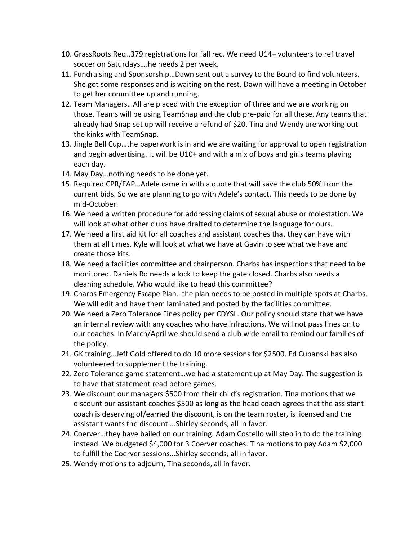- 10. GrassRoots Rec…379 registrations for fall rec. We need U14+ volunteers to ref travel soccer on Saturdays….he needs 2 per week.
- 11. Fundraising and Sponsorship…Dawn sent out a survey to the Board to find volunteers. She got some responses and is waiting on the rest. Dawn will have a meeting in October to get her committee up and running.
- 12. Team Managers…All are placed with the exception of three and we are working on those. Teams will be using TeamSnap and the club pre-paid for all these. Any teams that already had Snap set up will receive a refund of \$20. Tina and Wendy are working out the kinks with TeamSnap.
- 13. Jingle Bell Cup…the paperwork is in and we are waiting for approval to open registration and begin advertising. It will be U10+ and with a mix of boys and girls teams playing each day.
- 14. May Day…nothing needs to be done yet.
- 15. Required CPR/EAP…Adele came in with a quote that will save the club 50% from the current bids. So we are planning to go with Adele's contact. This needs to be done by mid-October.
- 16. We need a written procedure for addressing claims of sexual abuse or molestation. We will look at what other clubs have drafted to determine the language for ours.
- 17. We need a first aid kit for all coaches and assistant coaches that they can have with them at all times. Kyle will look at what we have at Gavin to see what we have and create those kits.
- 18. We need a facilities committee and chairperson. Charbs has inspections that need to be monitored. Daniels Rd needs a lock to keep the gate closed. Charbs also needs a cleaning schedule. Who would like to head this committee?
- 19. Charbs Emergency Escape Plan…the plan needs to be posted in multiple spots at Charbs. We will edit and have them laminated and posted by the facilities committee.
- 20. We need a Zero Tolerance Fines policy per CDYSL. Our policy should state that we have an internal review with any coaches who have infractions. We will not pass fines on to our coaches. In March/April we should send a club wide email to remind our families of the policy.
- 21. GK training…Jeff Gold offered to do 10 more sessions for \$2500. Ed Cubanski has also volunteered to supplement the training.
- 22. Zero Tolerance game statement…we had a statement up at May Day. The suggestion is to have that statement read before games.
- 23. We discount our managers \$500 from their child's registration. Tina motions that we discount our assistant coaches \$500 as long as the head coach agrees that the assistant coach is deserving of/earned the discount, is on the team roster, is licensed and the assistant wants the discount….Shirley seconds, all in favor.
- 24. Coerver…they have bailed on our training. Adam Costello will step in to do the training instead. We budgeted \$4,000 for 3 Coerver coaches. Tina motions to pay Adam \$2,000 to fulfill the Coerver sessions…Shirley seconds, all in favor.
- 25. Wendy motions to adjourn, Tina seconds, all in favor.